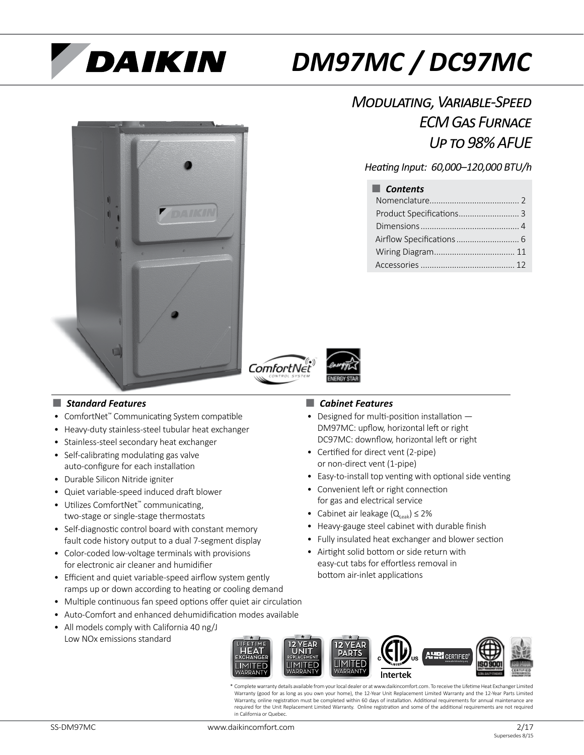# **DAIKIN**

## *DM97MC / DC97MC*



### *Modulating, Variable-Speed ECM Gas Furnace Up to 98% AFUE*

### *Heating Input: 60,000–120,000 BTU/h*

| $\blacksquare$ Contents  |  |
|--------------------------|--|
|                          |  |
| Product Specifications 3 |  |
|                          |  |
|                          |  |
|                          |  |
|                          |  |





### ■ *Standard Features* ■ *Cabinet Features*

- ComfortNet™ Communicating System compatible
- Heavy-duty stainless-steel tubular heat exchanger
- Stainless-steel secondary heat exchanger
- Self-calibrating modulating gas valve auto-configure for each installation
- Durable Silicon Nitride igniter
- Quiet variable-speed induced draft blower
- Utilizes ComfortNet™ communicating, two-stage or single-stage thermostats
- Self-diagnostic control board with constant memory fault code history output to a dual 7-segment display
- Color-coded low-voltage terminals with provisions for electronic air cleaner and humidifier
- Efficient and quiet variable-speed airflow system gently ramps up or down according to heating or cooling demand
- Multiple continuous fan speed options offer quiet air circulation
- Auto-Comfort and enhanced dehumidification modes available
- All models comply with California 40 ng/J Low NOx emissions standard

- Designed for multi-position installation DM97MC: upflow, horizontal left or right DC97MC: downflow, horizontal left or right
- Certified for direct vent (2-pipe) or non-direct vent (1-pipe)
- Easy-to-install top venting with optional side venting
- Convenient left or right connection for gas and electrical service
- Cabinet air leakage  $(Q_{\text{Leak}}) \leq 2\%$
- Heavy-gauge steel cabinet with durable finish
- Fully insulated heat exchanger and blower section
- Airtight solid bottom or side return with easy-cut tabs for effortless removal in bottom air-inlet applications



\* Complete warranty details available from your local dealer or at www.daikincomfort.com. To receive the Lifetime Heat Exchanger Limited Warranty (good for as long as you own your home), the 12-Year Unit Replacement Limited Warranty and the 12-Year Parts Limited Warranty, online registration must be completed within 60 days of installation. Additional requirements for annual maintenance are required for the Unit Replacement Limited Warranty. Online registration and some of the additional requirements are not required in California or Quebec.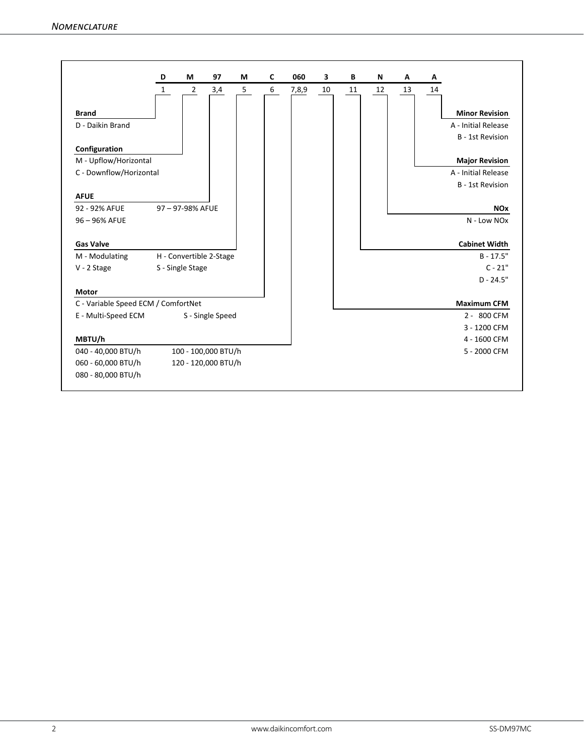|                                     | D            | M                | 97                      | М | C | 060   | 3  | В  | N  | Α  | Α  |                         |
|-------------------------------------|--------------|------------------|-------------------------|---|---|-------|----|----|----|----|----|-------------------------|
|                                     | $\mathbf{1}$ | $\overline{2}$   | 3,4                     | 5 | 6 | 7,8,9 | 10 | 11 | 12 | 13 | 14 |                         |
| <b>Brand</b>                        |              |                  |                         |   |   |       |    |    |    |    |    | <b>Minor Revision</b>   |
| D - Daikin Brand                    |              |                  |                         |   |   |       |    |    |    |    |    | A - Initial Release     |
|                                     |              |                  |                         |   |   |       |    |    |    |    |    | <b>B</b> - 1st Revision |
| Configuration                       |              |                  |                         |   |   |       |    |    |    |    |    |                         |
| M - Upflow/Horizontal               |              |                  |                         |   |   |       |    |    |    |    |    | <b>Major Revision</b>   |
| C - Downflow/Horizontal             |              |                  |                         |   |   |       |    |    |    |    |    | A - Initial Release     |
|                                     |              |                  |                         |   |   |       |    |    |    |    |    | <b>B</b> - 1st Revision |
| <b>AFUE</b>                         |              |                  |                         |   |   |       |    |    |    |    |    |                         |
| 92 - 92% AFUE                       |              | 97-97-98% AFUE   |                         |   |   |       |    |    |    |    |    | <b>NO<sub>x</sub></b>   |
| 96 - 96% AFUE                       |              |                  |                         |   |   |       |    |    |    |    |    | N - Low NOx             |
|                                     |              |                  |                         |   |   |       |    |    |    |    |    |                         |
| <b>Gas Valve</b>                    |              |                  |                         |   |   |       |    |    |    |    |    | <b>Cabinet Width</b>    |
| M - Modulating                      |              |                  | H - Convertible 2-Stage |   |   |       |    |    |    |    |    | $B - 17.5"$             |
| $V - 2$ Stage                       |              | S - Single Stage |                         |   |   |       |    |    |    |    |    | $C - 21"$               |
|                                     |              |                  |                         |   |   |       |    |    |    |    |    | $D - 24.5"$             |
| <b>Motor</b>                        |              |                  |                         |   |   |       |    |    |    |    |    |                         |
| C - Variable Speed ECM / ComfortNet |              |                  |                         |   |   |       |    |    |    |    |    | <b>Maximum CFM</b>      |
| E - Multi-Speed ECM                 |              |                  | S - Single Speed        |   |   |       |    |    |    |    |    | 2 - 800 CFM             |
|                                     |              |                  |                         |   |   |       |    |    |    |    |    | 3 - 1200 CFM            |
| MBTU/h                              |              |                  |                         |   |   |       |    |    |    |    |    | 4 - 1600 CFM            |
| 040 - 40,000 BTU/h                  |              |                  | 100 - 100,000 BTU/h     |   |   |       |    |    |    |    |    | 5 - 2000 CFM            |
| 060 - 60,000 BTU/h                  |              |                  | 120 - 120,000 BTU/h     |   |   |       |    |    |    |    |    |                         |
|                                     |              |                  |                         |   |   |       |    |    |    |    |    |                         |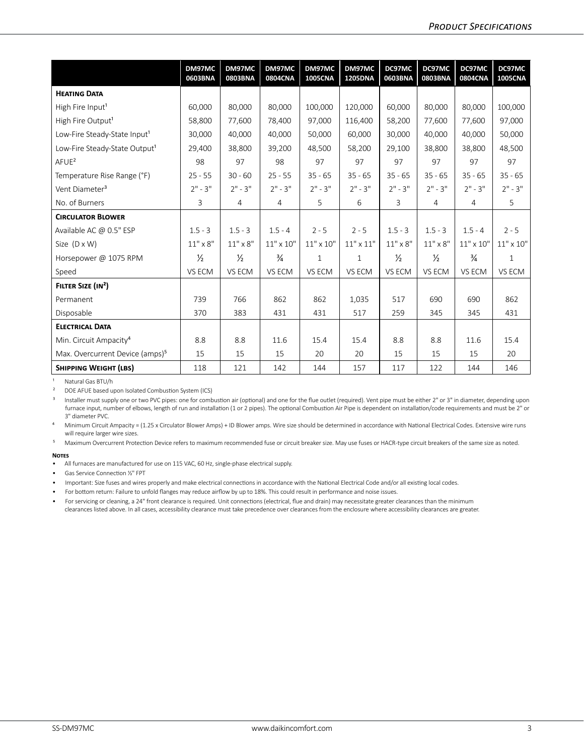|                                             | DM97MC<br>0603BNA | DM97MC<br>0803BNA | DM97MC<br><b>0804CNA</b> | DM97MC<br><b>1005CNA</b> | DM97MC<br><b>1205DNA</b> | DC97MC<br>0603BNA | DC97MC<br>0803BNA | DC97MC<br>0804CNA | DC97MC<br><b>1005CNA</b> |
|---------------------------------------------|-------------------|-------------------|--------------------------|--------------------------|--------------------------|-------------------|-------------------|-------------------|--------------------------|
| <b>HEATING DATA</b>                         |                   |                   |                          |                          |                          |                   |                   |                   |                          |
| High Fire Input <sup>1</sup>                | 60,000            | 80,000            | 80,000                   | 100,000                  | 120,000                  | 60,000            | 80,000            | 80,000            | 100,000                  |
| High Fire Output <sup>1</sup>               | 58,800            | 77,600            | 78,400                   | 97,000                   | 116,400                  | 58,200            | 77.600            | 77,600            | 97,000                   |
| Low-Fire Steady-State Input <sup>1</sup>    | 30,000            | 40,000            | 40,000                   | 50,000                   | 60,000                   | 30,000            | 40.000            | 40.000            | 50,000                   |
| Low-Fire Steady-State Output <sup>1</sup>   | 29,400            | 38,800            | 39,200                   | 48,500                   | 58,200                   | 29,100            | 38,800            | 38,800            | 48,500                   |
| $A$ FUE <sup>2</sup>                        | 98                | 97                | 98                       | 97                       | 97                       | 97                | 97                | 97                | 97                       |
| Temperature Rise Range (°F)                 | $25 - 55$         | $30 - 60$         | $25 - 55$                | $35 - 65$                | $35 - 65$                | $35 - 65$         | $35 - 65$         | $35 - 65$         | $35 - 65$                |
| Vent Diameter <sup>3</sup>                  | $2" - 3"$         | $2" - 3"$         | $2" - 3"$                | $2" - 3"$                | $2" - 3"$                | $2" - 3"$         | $2" - 3"$         | $2" - 3"$         | $2" - 3"$                |
| No. of Burners                              | 3                 | 4                 | 4                        | 5                        | 6                        | 3                 | 4                 | $\overline{4}$    | 5                        |
| <b>CIRCULATOR BLOWER</b>                    |                   |                   |                          |                          |                          |                   |                   |                   |                          |
| Available AC @ 0.5" ESP                     | $1.5 - 3$         | $1.5 - 3$         | $1.5 - 4$                | $2 - 5$                  | $2 - 5$                  | $1.5 - 3$         | $1.5 - 3$         | $1.5 - 4$         | $2 - 5$                  |
| Size $(D \times W)$                         | $11" \times 8"$   | $11" \times 8"$   | $11" \times 10"$         | $11" \times 10"$         | $11" \times 11"$         | $11" \times 8"$   | $11" \times 8"$   | $11" \times 10"$  | $11" \times 10"$         |
| Horsepower @ 1075 RPM                       | $\frac{1}{2}$     | $\frac{1}{2}$     | $\frac{3}{4}$            | $\mathbf{1}$             | 1                        | $\frac{1}{2}$     | $\frac{1}{2}$     | $\frac{3}{4}$     | 1                        |
| Speed                                       | VS ECM            | VS ECM            | VS ECM                   | VS ECM                   | VS ECM                   | VS ECM            | VS ECM            | VS ECM            | VS ECM                   |
| FILTER SIZE (IN <sup>2</sup> )              |                   |                   |                          |                          |                          |                   |                   |                   |                          |
| Permanent                                   | 739               | 766               | 862                      | 862                      | 1,035                    | 517               | 690               | 690               | 862                      |
| Disposable                                  | 370               | 383               | 431                      | 431                      | 517                      | 259               | 345               | 345               | 431                      |
| <b>ELECTRICAL DATA</b>                      |                   |                   |                          |                          |                          |                   |                   |                   |                          |
| Min. Circuit Ampacity <sup>4</sup>          | 8.8               | 8.8               | 11.6                     | 15.4                     | 15.4                     | 8.8               | 8.8               | 11.6              | 15.4                     |
| Max. Overcurrent Device (amps) <sup>5</sup> | 15                | 15                | 15                       | 20                       | 20                       | 15                | 15                | 15                | 20                       |
| <b>SHIPPING WEIGHT (LBS)</b>                | 118               | 121               | 142                      | 144                      | 157                      | 117               | 122               | 144               | 146                      |

<sup>1</sup> Natural Gas BTU/h

² DOE AFUE based upon Isolated Combustion System (ICS)

<sup>3</sup> Installer must supply one or two PVC pipes: one for combustion air (optional) and one for the flue outlet (required). Vent pipe must be either 2" or 3" in diameter, depending upon furnace input, number of elbows, length of run and installation (1 or 2 pipes). The optional Combustion Air Pipe is dependent on installation/code requirements and must be 2" or 3" diameter PVC.

⁴ Minimum Circuit Ampacity = (1.25 x Circulator Blower Amps) + ID Blower amps. Wire size should be determined in accordance with National Electrical Codes. Extensive wire runs will require larger wire sizes.

<sup>5</sup> Maximum Overcurrent Protection Device refers to maximum recommended fuse or circuit breaker size. May use fuses or HACR-type circuit breakers of the same size as noted.

#### **Notes**

• All furnaces are manufactured for use on 115 VAC, 60 Hz, single-phase electrical supply.

• Gas Service Connection ½" FPT

• Important: Size fuses and wires properly and make electrical connections in accordance with the National Electrical Code and/or all existing local codes.

• For bottom return: Failure to unfold flanges may reduce airflow by up to 18%. This could result in performance and noise issues.

• For servicing or cleaning, a 24" front clearance is required. Unit connections (electrical, flue and drain) may necessitate greater clearances than the minimum clearances listed above. In all cases, accessibility clearance must take precedence over clearances from the enclosure where accessibility clearances are greater.